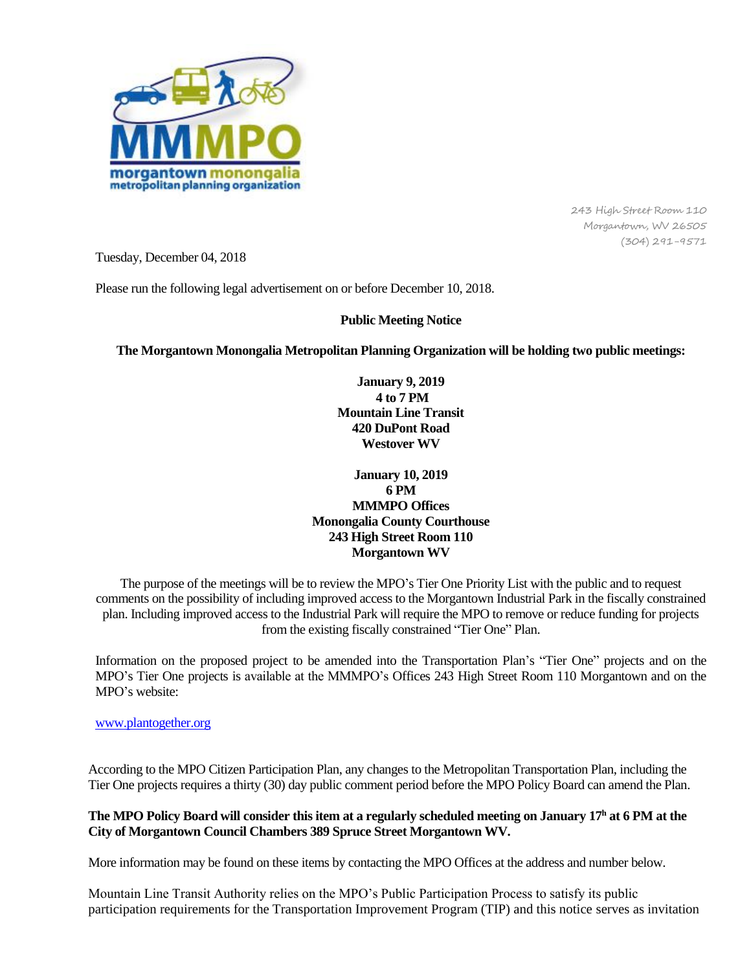

243 High Street Room 110 Morgantown, WV 26505 (304) 291-9571

Tuesday, December 04, 2018

Please run the following legal advertisement on or before December 10, 2018.

## **Public Meeting Notice**

**The Morgantown Monongalia Metropolitan Planning Organization will be holding two public meetings:**

**January 9, 2019 4 to 7 PM Mountain Line Transit 420 DuPont Road Westover WV**

**January 10, 2019 6 PM MMMPO Offices Monongalia County Courthouse 243 High Street Room 110 Morgantown WV**

The purpose of the meetings will be to review the MPO's Tier One Priority List with the public and to request comments on the possibility of including improved access to the Morgantown Industrial Park in the fiscally constrained plan. Including improved access to the Industrial Park will require the MPO to remove or reduce funding for projects from the existing fiscally constrained "Tier One" Plan.

Information on the proposed project to be amended into the Transportation Plan's "Tier One" projects and on the MPO's Tier One projects is available at the MMMPO's Offices 243 High Street Room 110 Morgantown and on the MPO's website:

[www.plantogether.org](http://www.plantogether.org/)

According to the MPO Citizen Participation Plan, any changes to the Metropolitan Transportation Plan, including the Tier One projects requires a thirty (30) day public comment period before the MPO Policy Board can amend the Plan.

## **The MPO Policy Board will consider this item at a regularly scheduled meeting on January 17<sup>h</sup> at 6 PM at the City of Morgantown Council Chambers 389 Spruce Street Morgantown WV.**

More information may be found on these items by contacting the MPO Offices at the address and number below.

Mountain Line Transit Authority relies on the MPO's Public Participation Process to satisfy its public participation requirements for the Transportation Improvement Program (TIP) and this notice serves as invitation